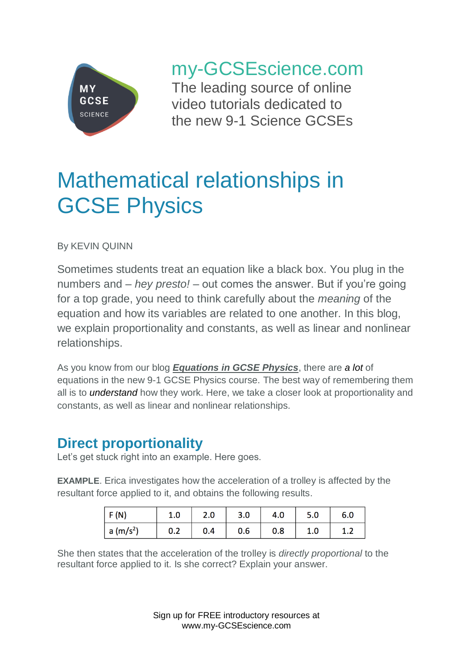

my-GCSEscience.com

The leading source of online video tutorials dedicated to the new 9-1 Science GCSEs

# Mathematical relationships in GCSE Physics

By KEVIN QUINN

Sometimes students treat an equation like a black box. You plug in the numbers and – *hey presto!* – out comes the answer. But if you're going for a top grade, you need to think carefully about the *meaning* of the equation and how its variables are related to one another. In this blog, we explain proportionality and constants, as well as linear and nonlinear relationships.

As you know from our blog *[Equations in GCSE Physics](https://www.my-gcsescience.com/equations-gcse-physics/)*, there are *a lot* of equations in the new 9-1 GCSE Physics course. The best way of remembering them all is to *understand* how they work. Here, we take a closer look at proportionality and constants, as well as linear and nonlinear relationships.

### **Direct proportionality**

Let's get stuck right into an example. Here goes.

**EXAMPLE**. Erica investigates how the acceleration of a trolley is affected by the resultant force applied to it, and obtains the following results.

| F(N)                          | 1.0 | 2.0 | 3.0 | 4.0 | 5.0 | 6.0 |
|-------------------------------|-----|-----|-----|-----|-----|-----|
| $\vert$ a (m/s <sup>2</sup> ) | 0.2 | 0.4 | 0.6 | 0.8 | 1.0 | ⊥.∠ |

She then states that the acceleration of the trolley is *directly proportional* to the resultant force applied to it. Is she correct? Explain your answer.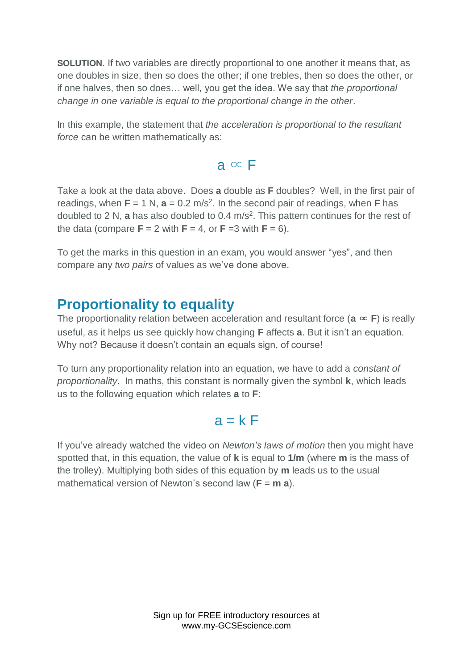**SOLUTION**. If two variables are directly proportional to one another it means that, as one doubles in size, then so does the other; if one trebles, then so does the other, or if one halves, then so does… well, you get the idea. We say that *the proportional change in one variable is equal to the proportional change in the other*.

In this example, the statement that *the acceleration is proportional to the resultant force* can be written mathematically as:

 $a \propto F$ 

Take a look at the data above. Does **a** double as **F** doubles? Well, in the first pair of readings, when  $F = 1 N$ ,  $a = 0.2 m/s<sup>2</sup>$ . In the second pair of readings, when **F** has doubled to 2 N, a has also doubled to 0.4 m/s<sup>2</sup>. This pattern continues for the rest of the data (compare  $\mathbf{F} = 2$  with  $\mathbf{F} = 4$ , or  $\mathbf{F} = 3$  with  $\mathbf{F} = 6$ ).

To get the marks in this question in an exam, you would answer "yes", and then compare any *two pairs* of values as we've done above.

## **Proportionality to equality**

The proportionality relation between acceleration and resultant force ( $\mathbf{a} \propto \mathbf{F}$ ) is really useful, as it helps us see quickly how changing **F** affects **a**. But it isn't an equation. Why not? Because it doesn't contain an equals sign, of course!

To turn any proportionality relation into an equation, we have to add a *constant of proportionality*. In maths, this constant is normally given the symbol **k**, which leads us to the following equation which relates **a** to **F**:

#### $a = kF$

If you've already watched the video on *Newton's laws of motion* then you might have spotted that, in this equation, the value of **k** is equal to **1/m** (where **m** is the mass of the trolley). Multiplying both sides of this equation by **m** leads us to the usual mathematical version of Newton's second law (**F** = **m a**).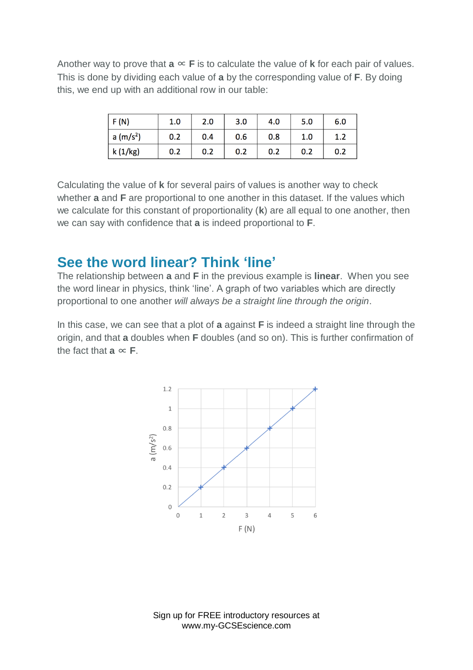Another way to prove that  $a \propto F$  is to calculate the value of **k** for each pair of values. This is done by dividing each value of **a** by the corresponding value of **F**. By doing this, we end up with an additional row in our table:

| F(N)                  | 1.0 | 2.0 | 3.0 | 4.0 | 5.0 | 6.0 |
|-----------------------|-----|-----|-----|-----|-----|-----|
| a (m/s <sup>2</sup> ) | 0.2 | 0.4 | 0.6 | 0.8 | 1.0 | 1.2 |
| k (1/kg)              | 0.2 | 0.2 | 0.2 | 0.2 | 0.2 | 0.2 |

Calculating the value of **k** for several pairs of values is another way to check whether **a** and **F** are proportional to one another in this dataset. If the values which we calculate for this constant of proportionality (**k**) are all equal to one another, then we can say with confidence that **a** is indeed proportional to **F**.

#### **See the word linear? Think 'line'**

The relationship between **a** and **F** in the previous example is **linear**. When you see the word linear in physics, think 'line'. A graph of two variables which are directly proportional to one another *will always be a straight line through the origin*.

In this case, we can see that a plot of **a** against **F** is indeed a straight line through the origin, and that **a** doubles when **F** doubles (and so on). This is further confirmation of the fact that  $a \propto$  **F**.